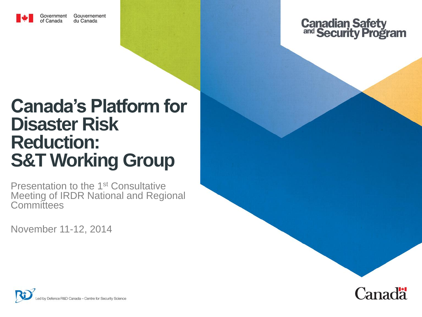

# **Canadian Safety<br>and Security Program**

## **Canada's Platform for Disaster Risk Reduction: S&T Working Group**

Presentation to the 1<sup>st</sup> Consultative Meeting of IRDR National and Regional **Committees** 

November 11-12, 2014



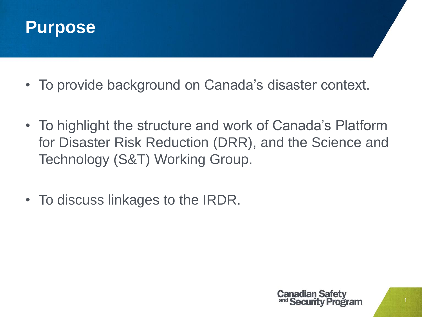

- To provide background on Canada's disaster context.
- To highlight the structure and work of Canada's Platform for Disaster Risk Reduction (DRR), and the Science and Technology (S&T) Working Group.
- To discuss linkages to the IRDR.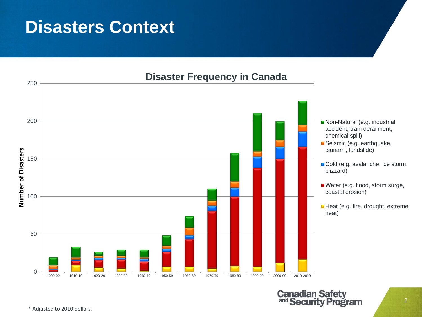#### **Disasters Context**



#### \* Adjusted to 2010 dollars.

2

**Canadian Safety<br>and Security Program**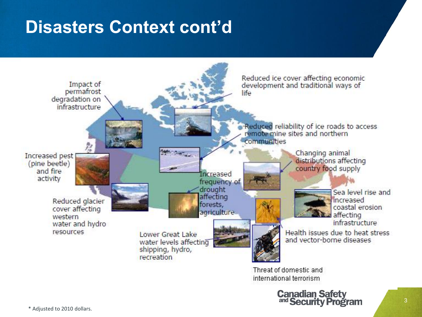#### **Disasters Context cont'd**



**Canadian Safety** and Security Program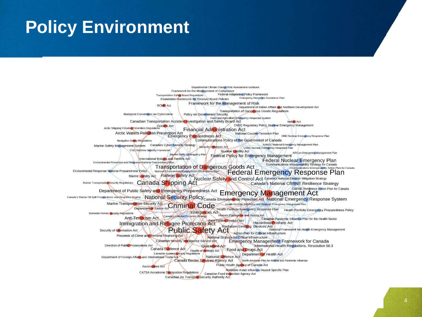### **Policy Environment**

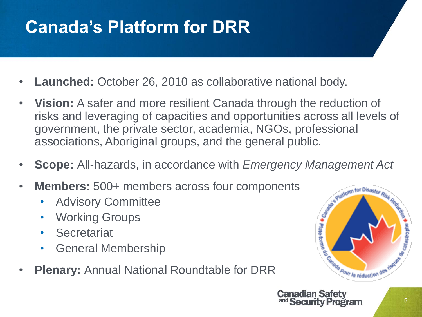# **Canada's Platform for DRR**

- **Launched:** October 26, 2010 as collaborative national body.
- **Vision:** A safer and more resilient Canada through the reduction of risks and leveraging of capacities and opportunities across all levels of government, the private sector, academia, NGOs, professional associations, Aboriginal groups, and the general public.
- **Scope:** All-hazards, in accordance with *Emergency Management Act*
- **Members:** 500+ members across four components
	- Advisory Committee
	- Working Groups
	- Secretariat
	- General Membership
- **Plenary:** Annual National Roundtable for DRR

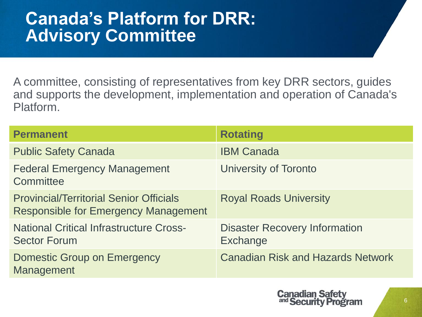#### **Canada's Platform for DRR: Advisory Committee**

A committee, consisting of representatives from key DRR sectors, guides and supports the development, implementation and operation of Canada's Platform.

| <b>Permanent</b>                                                                              | <b>Rotating</b>                                  |
|-----------------------------------------------------------------------------------------------|--------------------------------------------------|
| <b>Public Safety Canada</b>                                                                   | <b>IBM Canada</b>                                |
| <b>Federal Emergency Management</b><br>Committee                                              | University of Toronto                            |
| <b>Provincial/Territorial Senior Officials</b><br><b>Responsible for Emergency Management</b> | <b>Royal Roads University</b>                    |
| <b>National Critical Infrastructure Cross-</b><br><b>Sector Forum</b>                         | <b>Disaster Recovery Information</b><br>Exchange |
| <b>Domestic Group on Emergency</b><br><b>Management</b>                                       | <b>Canadian Risk and Hazards Network</b>         |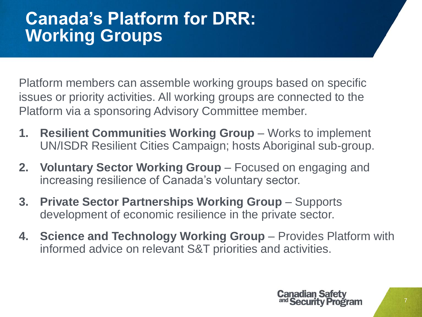#### **Canada's Platform for DRR: Working Groups**

Platform members can assemble working groups based on specific issues or priority activities. All working groups are connected to the Platform via a sponsoring Advisory Committee member.

- **1. Resilient Communities Working Group** Works to implement UN/ISDR Resilient Cities Campaign; hosts Aboriginal sub-group.
- **2. Voluntary Sector Working Group** Focused on engaging and increasing resilience of Canada's voluntary sector.
- **3. Private Sector Partnerships Working Group** Supports development of economic resilience in the private sector.
- **4. Science and Technology Working Group** Provides Platform with informed advice on relevant S&T priorities and activities.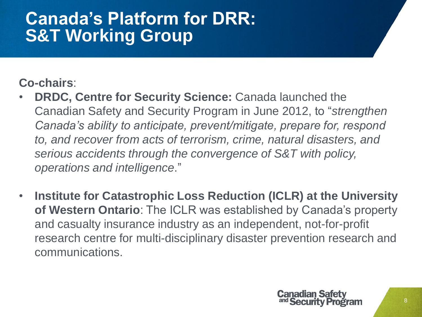#### **Canada's Platform for DRR: S&T Working Group**

#### **Co-chairs**:

- **DRDC, Centre for Security Science:** Canada launched the Canadian Safety and Security Program in June 2012, to "*strengthen Canada's ability to anticipate, prevent/mitigate, prepare for, respond to, and recover from acts of terrorism, crime, natural disasters, and serious accidents through the convergence of S&T with policy, operations and intelligence*."
- **Institute for Catastrophic Loss Reduction (ICLR) at the University of Western Ontario**: The ICLR was established by Canada's property and casualty insurance industry as an independent, not-for-profit research centre for multi-disciplinary disaster prevention research and communications.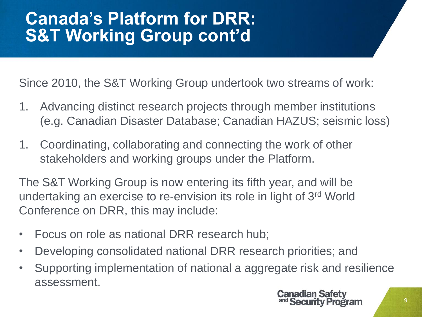#### **Canada's Platform for DRR: S&T Working Group cont'd**

Since 2010, the S&T Working Group undertook two streams of work:

- 1. Advancing distinct research projects through member institutions (e.g. Canadian Disaster Database; Canadian HAZUS; seismic loss)
- 1. Coordinating, collaborating and connecting the work of other stakeholders and working groups under the Platform.

The S&T Working Group is now entering its fifth year, and will be undertaking an exercise to re-envision its role in light of 3rd World Conference on DRR, this may include:

- Focus on role as national DRR research hub;
- Developing consolidated national DRR research priorities; and
- Supporting implementation of national a aggregate risk and resilience assessment.

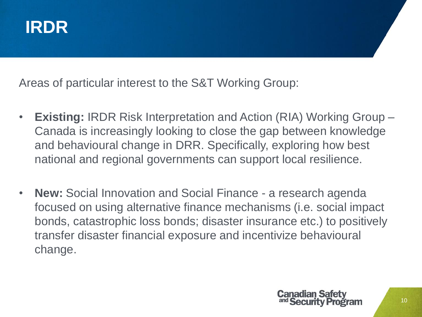#### **IRDR**

Areas of particular interest to the S&T Working Group:

- **Existing:** IRDR Risk Interpretation and Action (RIA) Working Group Canada is increasingly looking to close the gap between knowledge and behavioural change in DRR. Specifically, exploring how best national and regional governments can support local resilience.
- **New:** Social Innovation and Social Finance a research agenda focused on using alternative finance mechanisms (i.e. social impact bonds, catastrophic loss bonds; disaster insurance etc.) to positively transfer disaster financial exposure and incentivize behavioural change.